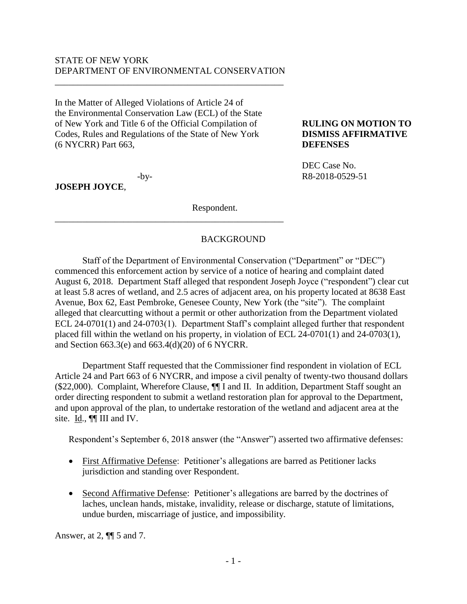# STATE OF NEW YORK DEPARTMENT OF ENVIRONMENTAL CONSERVATION

\_\_\_\_\_\_\_\_\_\_\_\_\_\_\_\_\_\_\_\_\_\_\_\_\_\_\_\_\_\_\_\_\_\_\_\_\_\_\_\_\_\_\_\_\_\_\_\_\_\_

\_\_\_\_\_\_\_\_\_\_\_\_\_\_\_\_\_\_\_\_\_\_\_\_\_\_\_\_\_\_\_\_\_\_\_\_\_\_\_\_\_\_\_\_\_\_\_\_\_\_

In the Matter of Alleged Violations of Article 24 of the Environmental Conservation Law (ECL) of the State of New York and Title 6 of the Official Compilation of **RULING ON MOTION TO** Codes, Rules and Regulations of the State of New York **DISMISS AFFIRMATIVE** (6 NYCRR) Part 663, **DEFENSES**

**JOSEPH JOYCE**,

Respondent.

# BACKGROUND

Staff of the Department of Environmental Conservation ("Department" or "DEC") commenced this enforcement action by service of a notice of hearing and complaint dated August 6, 2018. Department Staff alleged that respondent Joseph Joyce ("respondent") clear cut at least 5.8 acres of wetland, and 2.5 acres of adjacent area, on his property located at 8638 East Avenue, Box 62, East Pembroke, Genesee County, New York (the "site"). The complaint alleged that clearcutting without a permit or other authorization from the Department violated ECL 24-0701(1) and 24-0703(1). Department Staff's complaint alleged further that respondent placed fill within the wetland on his property, in violation of ECL 24-0701(1) and 24-0703(1), and Section 663.3(e) and 663.4(d)(20) of 6 NYCRR.

Department Staff requested that the Commissioner find respondent in violation of ECL Article 24 and Part 663 of 6 NYCRR, and impose a civil penalty of twenty-two thousand dollars (\$22,000). Complaint, Wherefore Clause, ¶¶ I and II. In addition, Department Staff sought an order directing respondent to submit a wetland restoration plan for approval to the Department, and upon approval of the plan, to undertake restoration of the wetland and adjacent area at the site.  $\underline{Id}$ .,  $\P\P$  III and IV.

Respondent's September 6, 2018 answer (the "Answer") asserted two affirmative defenses:

- First Affirmative Defense: Petitioner's allegations are barred as Petitioner lacks jurisdiction and standing over Respondent.
- Second Affirmative Defense: Petitioner's allegations are barred by the doctrines of laches, unclean hands, mistake, invalidity, release or discharge, statute of limitations, undue burden, miscarriage of justice, and impossibility.

Answer, at 2, ¶¶ 5 and 7.

DEC Case No. -by- R8-2018-0529-51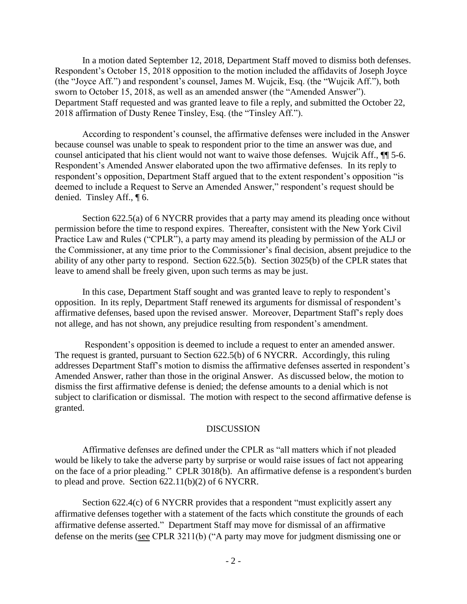In a motion dated September 12, 2018, Department Staff moved to dismiss both defenses. Respondent's October 15, 2018 opposition to the motion included the affidavits of Joseph Joyce (the "Joyce Aff.") and respondent's counsel, James M. Wujcik, Esq. (the "Wujcik Aff."), both sworn to October 15, 2018, as well as an amended answer (the "Amended Answer"). Department Staff requested and was granted leave to file a reply, and submitted the October 22, 2018 affirmation of Dusty Renee Tinsley, Esq. (the "Tinsley Aff.").

According to respondent's counsel, the affirmative defenses were included in the Answer because counsel was unable to speak to respondent prior to the time an answer was due, and counsel anticipated that his client would not want to waive those defenses. Wujcik Aff., ¶¶ 5-6. Respondent's Amended Answer elaborated upon the two affirmative defenses. In its reply to respondent's opposition, Department Staff argued that to the extent respondent's opposition "is deemed to include a Request to Serve an Amended Answer," respondent's request should be denied. Tinsley Aff., ¶ 6.

Section 622.5(a) of 6 NYCRR provides that a party may amend its pleading once without permission before the time to respond expires. Thereafter, consistent with the New York Civil Practice Law and Rules ("CPLR"), a party may amend its pleading by permission of the ALJ or the Commissioner, at any time prior to the Commissioner's final decision, absent prejudice to the ability of any other party to respond. Section 622.5(b). Section 3025(b) of the CPLR states that leave to amend shall be freely given, upon such terms as may be just.

In this case, Department Staff sought and was granted leave to reply to respondent's opposition. In its reply, Department Staff renewed its arguments for dismissal of respondent's affirmative defenses, based upon the revised answer. Moreover, Department Staff's reply does not allege, and has not shown, any prejudice resulting from respondent's amendment.

Respondent's opposition is deemed to include a request to enter an amended answer. The request is granted, pursuant to Section 622.5(b) of 6 NYCRR. Accordingly, this ruling addresses Department Staff's motion to dismiss the affirmative defenses asserted in respondent's Amended Answer, rather than those in the original Answer. As discussed below, the motion to dismiss the first affirmative defense is denied; the defense amounts to a denial which is not subject to clarification or dismissal. The motion with respect to the second affirmative defense is granted.

#### **DISCUSSION**

Affirmative defenses are defined under the CPLR as "all matters which if not pleaded would be likely to take the adverse party by surprise or would raise issues of fact not appearing on the face of a prior pleading." CPLR 3018(b). An affirmative defense is a respondent's burden to plead and prove. Section 622.11(b)(2) of 6 NYCRR.

Section 622.4(c) of 6 NYCRR provides that a respondent "must explicitly assert any affirmative defenses together with a statement of the facts which constitute the grounds of each affirmative defense asserted." Department Staff may move for dismissal of an affirmative defense on the merits (see CPLR 3211(b) ("A party may move for judgment dismissing one or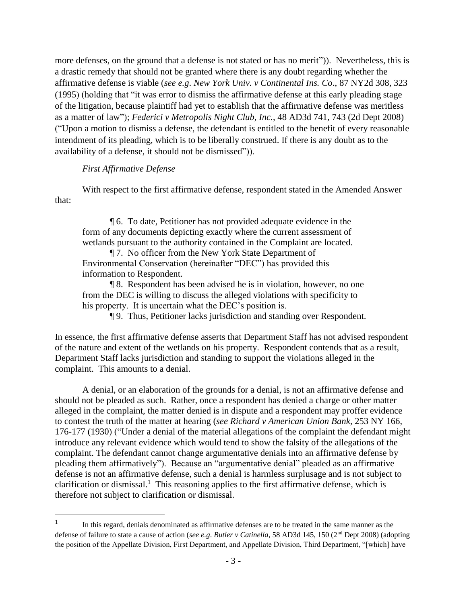more defenses, on the ground that a defense is not stated or has no merit")). Nevertheless, this is a drastic remedy that should not be granted where there is any doubt regarding whether the affirmative defense is viable (*see e.g*. *New York Univ. v Continental Ins. Co*., 87 NY2d 308, 323 (1995) (holding that "it was error to dismiss the affirmative defense at this early pleading stage of the litigation, because plaintiff had yet to establish that the affirmative defense was meritless as a matter of law"); *Federici v Metropolis Night Club, Inc.*, 48 AD3d 741, 743 (2d Dept 2008) ("Upon a motion to dismiss a defense, the defendant is entitled to the benefit of every reasonable intendment of its pleading, which is to be liberally construed. If there is any doubt as to the availability of a defense, it should not be dismissed")).

### *First Affirmative Defense*

 $\overline{a}$ 

With respect to the first affirmative defense, respondent stated in the Amended Answer that:

¶ 6. To date, Petitioner has not provided adequate evidence in the form of any documents depicting exactly where the current assessment of wetlands pursuant to the authority contained in the Complaint are located.

¶ 7. No officer from the New York State Department of Environmental Conservation (hereinafter "DEC") has provided this information to Respondent.

¶ 8. Respondent has been advised he is in violation, however, no one from the DEC is willing to discuss the alleged violations with specificity to his property. It is uncertain what the DEC's position is.

¶ 9. Thus, Petitioner lacks jurisdiction and standing over Respondent.

In essence, the first affirmative defense asserts that Department Staff has not advised respondent of the nature and extent of the wetlands on his property. Respondent contends that as a result, Department Staff lacks jurisdiction and standing to support the violations alleged in the complaint. This amounts to a denial.

A denial, or an elaboration of the grounds for a denial, is not an affirmative defense and should not be pleaded as such. Rather, once a respondent has denied a charge or other matter alleged in the complaint, the matter denied is in dispute and a respondent may proffer evidence to contest the truth of the matter at hearing (*see Richard v American Union Bank*, 253 NY 166, 176-177 (1930) ("Under a denial of the material allegations of the complaint the defendant might introduce any relevant evidence which would tend to show the falsity of the allegations of the complaint. The defendant cannot change argumentative denials into an affirmative defense by pleading them affirmatively"). Because an "argumentative denial" pleaded as an affirmative defense is not an affirmative defense, such a denial is harmless surplusage and is not subject to clarification or dismissal.<sup>1</sup> This reasoning applies to the first affirmative defense, which is therefore not subject to clarification or dismissal.

<sup>1</sup> In this regard, denials denominated as affirmative defenses are to be treated in the same manner as the defense of failure to state a cause of action (*see e.g*. *Butler v Catinella*, 58 AD3d 145, 150 (2nd Dept 2008) (adopting the position of the Appellate Division, First Department, and Appellate Division, Third Department, "[which] have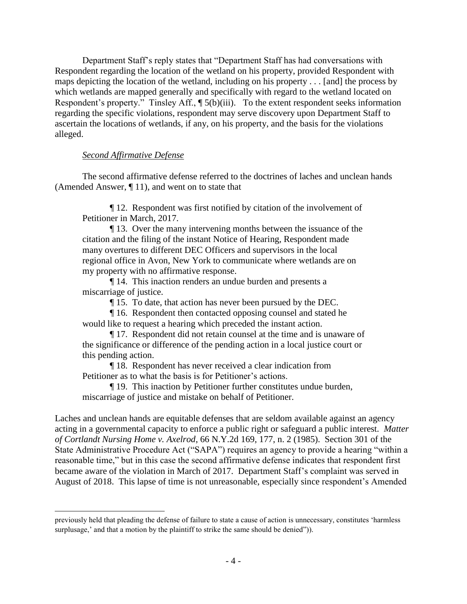Department Staff's reply states that "Department Staff has had conversations with Respondent regarding the location of the wetland on his property, provided Respondent with maps depicting the location of the wetland, including on his property . . . [and] the process by which wetlands are mapped generally and specifically with regard to the wetland located on Respondent's property." Tinsley Aff., ¶ 5(b)(iii). To the extent respondent seeks information regarding the specific violations, respondent may serve discovery upon Department Staff to ascertain the locations of wetlands, if any, on his property, and the basis for the violations alleged.

# *Second Affirmative Defense*

 $\overline{a}$ 

The second affirmative defense referred to the doctrines of laches and unclean hands (Amended Answer, ¶ 11), and went on to state that

¶ 12. Respondent was first notified by citation of the involvement of Petitioner in March, 2017.

¶ 13. Over the many intervening months between the issuance of the citation and the filing of the instant Notice of Hearing, Respondent made many overtures to different DEC Officers and supervisors in the local regional office in Avon, New York to communicate where wetlands are on my property with no affirmative response.

¶ 14. This inaction renders an undue burden and presents a miscarriage of justice.

¶ 15. To date, that action has never been pursued by the DEC.

¶ 16. Respondent then contacted opposing counsel and stated he would like to request a hearing which preceded the instant action.

¶ 17. Respondent did not retain counsel at the time and is unaware of the significance or difference of the pending action in a local justice court or this pending action.

¶ 18. Respondent has never received a clear indication from Petitioner as to what the basis is for Petitioner's actions.

¶ 19. This inaction by Petitioner further constitutes undue burden, miscarriage of justice and mistake on behalf of Petitioner.

Laches and unclean hands are equitable defenses that are seldom available against an agency acting in a governmental capacity to enforce a public right or safeguard a public interest. *Matter of Cortlandt Nursing Home v. Axelrod*, 66 N.Y.2d 169, 177, n. 2 (1985). Section 301 of the State Administrative Procedure Act ("SAPA") requires an agency to provide a hearing "within a reasonable time," but in this case the second affirmative defense indicates that respondent first became aware of the violation in March of 2017. Department Staff's complaint was served in August of 2018. This lapse of time is not unreasonable, especially since respondent's Amended

previously held that pleading the defense of failure to state a cause of action is unnecessary, constitutes 'harmless surplusage,' and that a motion by the plaintiff to strike the same should be denied").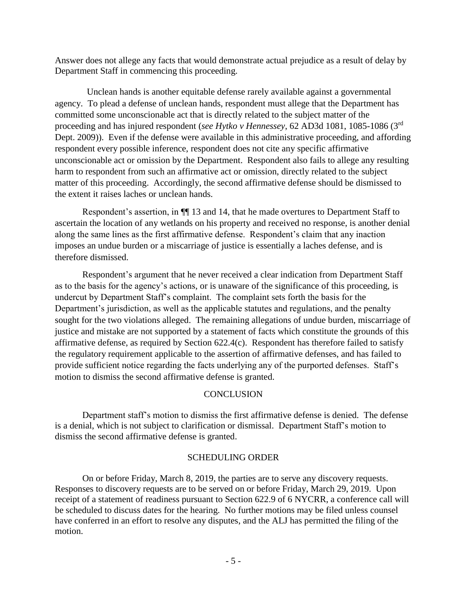Answer does not allege any facts that would demonstrate actual prejudice as a result of delay by Department Staff in commencing this proceeding.

 Unclean hands is another equitable defense rarely available against a governmental agency. To plead a defense of unclean hands, respondent must allege that the Department has committed some unconscionable act that is directly related to the subject matter of the proceeding and has injured respondent (*see Hytko v Hennessey*, 62 AD3d 1081, 1085-1086 (3rd Dept. 2009)). Even if the defense were available in this administrative proceeding, and affording respondent every possible inference, respondent does not cite any specific affirmative unconscionable act or omission by the Department. Respondent also fails to allege any resulting harm to respondent from such an affirmative act or omission, directly related to the subject matter of this proceeding. Accordingly, the second affirmative defense should be dismissed to the extent it raises laches or unclean hands.

Respondent's assertion, in ¶¶ 13 and 14, that he made overtures to Department Staff to ascertain the location of any wetlands on his property and received no response, is another denial along the same lines as the first affirmative defense. Respondent's claim that any inaction imposes an undue burden or a miscarriage of justice is essentially a laches defense, and is therefore dismissed.

Respondent's argument that he never received a clear indication from Department Staff as to the basis for the agency's actions, or is unaware of the significance of this proceeding, is undercut by Department Staff's complaint. The complaint sets forth the basis for the Department's jurisdiction, as well as the applicable statutes and regulations, and the penalty sought for the two violations alleged. The remaining allegations of undue burden, miscarriage of justice and mistake are not supported by a statement of facts which constitute the grounds of this affirmative defense, as required by Section 622.4(c). Respondent has therefore failed to satisfy the regulatory requirement applicable to the assertion of affirmative defenses, and has failed to provide sufficient notice regarding the facts underlying any of the purported defenses. Staff's motion to dismiss the second affirmative defense is granted.

# **CONCLUSION**

Department staff's motion to dismiss the first affirmative defense is denied. The defense is a denial, which is not subject to clarification or dismissal. Department Staff's motion to dismiss the second affirmative defense is granted.

# SCHEDULING ORDER

On or before Friday, March 8, 2019, the parties are to serve any discovery requests. Responses to discovery requests are to be served on or before Friday, March 29, 2019. Upon receipt of a statement of readiness pursuant to Section 622.9 of 6 NYCRR, a conference call will be scheduled to discuss dates for the hearing. No further motions may be filed unless counsel have conferred in an effort to resolve any disputes, and the ALJ has permitted the filing of the motion.